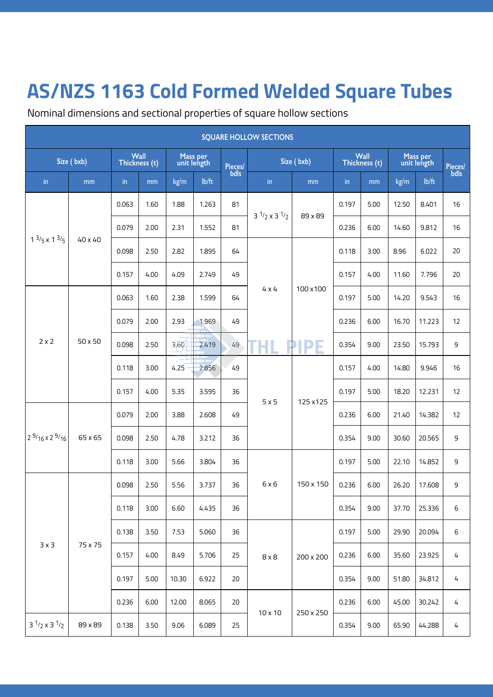## **AS/NZS 1163 Cold Formed Welded Square Tubes**

Nominal dimensions and sectional properties of square hollow sections

| <b>SQUARE HOLLOW SECTIONS</b> |            |                       |      |                         |       |                 |                          |                       |               |                         |       |                 |    |  |
|-------------------------------|------------|-----------------------|------|-------------------------|-------|-----------------|--------------------------|-----------------------|---------------|-------------------------|-------|-----------------|----|--|
|                               | Size (bxb) | Wall<br>Thickness (t) |      | Mass per<br>unit length |       | Pieces/<br>bdls | Size (bxb)               | Wall<br>Thickness (t) |               | Mass per<br>unit length |       | Pieces/<br>bdls |    |  |
| in                            | mm         | in                    | mm   | kg/m                    | lb/ft |                 | in                       | mm                    | $\mathsf{in}$ | mm                      | kg/m  | lb/ft           |    |  |
|                               |            | 0.063                 | 1.60 | 1.88                    | 1.263 | 81              | $3^{1/2} \times 3^{1/2}$ |                       | 0.197         | 5.00                    | 12.50 | 8.401           | 16 |  |
|                               |            | 0.079                 | 2.00 | 2.31                    | 1.552 | 81              |                          | 89 x 89               | 0.236         | 6.00                    | 14.60 | 9.812           | 16 |  |
| $1^{3}/_5 \times 1^{3}/_5$    | 40 x 40    | 0.098                 | 2.50 | 2.82                    | 1.895 | 64              |                          |                       | 0.118         | 3.00                    | 8.96  | 6.022           | 20 |  |
|                               |            | 0.157                 | 4.00 | 4.09                    | 2.749 | 49              |                          | 100 x 100<br>H        | 0.157         | 4.00                    | 11.60 | 7.796           | 20 |  |
| $2 \times 2$                  | 50 x 50    | 0.063                 | 1.60 | 2.38                    | 1.599 | 64              | $4 \times 4$             |                       | 0.197         | 5.00                    | 14.20 | 9.543           | 16 |  |
|                               |            | 0.079                 | 2.00 | 2.93                    | 1.969 | 49              |                          |                       | 0.236         | 6.00                    | 16.70 | 11.223          | 12 |  |
|                               |            | 0.098                 | 2.50 | 3,60                    | 2.419 | 49              | н                        |                       | 0.354         | 9.00                    | 23.50 | 15.793          | 9  |  |
|                               |            | 0.118                 | 3.00 | 4.25                    | 2.856 | 49              | 5x5                      | 125 x 125             | 0.157         | 4.00                    | 14.80 | 9.946           | 16 |  |
|                               |            | 0.157                 | 4.00 | 5.35                    | 3.595 | 36              |                          |                       | 0.197         | 5.00                    | 18.20 | 12.231          | 12 |  |
|                               | 65 x 65    | 0.079                 | 2.00 | 3.88                    | 2.608 | 49              |                          |                       | 0.236         | 6.00                    | 21.40 | 14.382          | 12 |  |
| $2^{9}/16 \times 2^{9}/16$    |            | 0.098                 | 2.50 | 4.78                    | 3.212 | 36              |                          |                       | 0.354         | 9.00                    | 30.60 | 20.565          | 9  |  |
|                               |            | 0.118                 | 3.00 | 5.66                    | 3.804 | 36              | 6x6                      | 150 x 150             | 0.197         | 5.00                    | 22.10 | 14.852          | 9  |  |
|                               |            | 0.098                 | 2.50 | 5.56                    | 3.737 | 36              |                          |                       | 0.236         | 6.00                    | 26.20 | 17.608          | 9  |  |
|                               |            | 0.118                 | 3.00 | 6.60                    | 4.435 | 36              |                          |                       | 0.354         | 9.00                    | 37.70 | 25.336          | 6  |  |
|                               |            | 0.138                 | 3.50 | 7.53                    | 5.060 | 36              | $8 \times 8$             | 200 x 200             | 0.197         | 5.00                    | 29.90 | 20.094          | 6  |  |
| $3 \times 3$                  | 75 x 75    | 0.157                 | 4.00 | 8.49                    | 5.706 | 25              |                          |                       | 0.236         | 6.00                    | 35.60 | 23.925          | 4  |  |
|                               |            | 0.197                 | 5.00 | 10.30                   | 6.922 | 20              |                          |                       | 0.354         | 9.00                    | 51.80 | 34.812          | 4  |  |
|                               |            | 0.236                 | 6.00 | 12.00                   | 8.065 | 20              | 10 x 10                  | 250 x 250             | 0.236         | 6.00                    | 45.00 | 30.242          | 4  |  |
| $3^{1/2} \times 3^{1/2}$      | 89 x 89    | 0.138                 | 3.50 | 9.06                    | 6.089 | 25              |                          |                       | 0.354         | 9.00                    | 65.90 | 44.288          | 4  |  |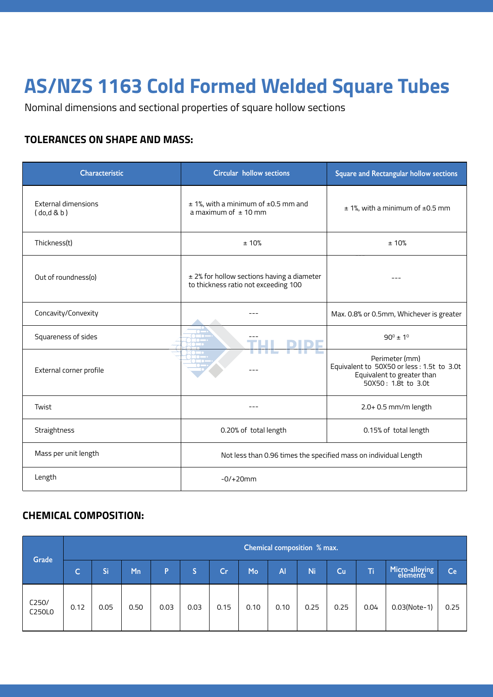## **AS/NZS 1163 Cold Formed Welded Square Tubes**

Nominal dimensions and sectional properties of square hollow sections

#### **TOLERANCES ON SHAPE AND MASS:**

| <b>Characteristic</b>                  | <b>Circular hollow sections</b>                                                    | Square and Rectangular hollow sections                                                                            |  |  |  |  |
|----------------------------------------|------------------------------------------------------------------------------------|-------------------------------------------------------------------------------------------------------------------|--|--|--|--|
| <b>External dimensions</b><br>(do,d&b) | $±$ 1%, with a minimum of $±$ 0.5 mm and<br>a maximum of $\pm$ 10 mm               | $± 1$ %, with a minimum of $±0.5$ mm                                                                              |  |  |  |  |
| Thickness(t)                           | ± 10%                                                                              | ±10%                                                                                                              |  |  |  |  |
| Out of roundness(o)                    | ± 2% for hollow sections having a diameter<br>to thickness ratio not exceeding 100 |                                                                                                                   |  |  |  |  |
| Concavity/Convexity                    |                                                                                    | Max. 0.8% or 0.5mm, Whichever is greater                                                                          |  |  |  |  |
| Squareness of sides                    |                                                                                    | $90^{\circ}$ ± 1 <sup>°</sup>                                                                                     |  |  |  |  |
| External corner profile                |                                                                                    | Perimeter (mm)<br>Equivalent to 50X50 or less : 1.5t to 3.0t<br>Equivalent to greater than<br>50X50: 1.8t to 3.0t |  |  |  |  |
| Twist                                  |                                                                                    | 2.0+ 0.5 mm/m length                                                                                              |  |  |  |  |
| Straightness                           | 0.20% of total length                                                              | 0.15% of total length                                                                                             |  |  |  |  |
| Mass per unit length                   | Not less than 0.96 times the specified mass on individual Length                   |                                                                                                                   |  |  |  |  |
| Length                                 | $-0/+20mm$                                                                         |                                                                                                                   |  |  |  |  |

### **CHEMICAL COMPOSITION:**

| Grade           |              | Chemical composition % max. |      |      |      |      |      |           |      |      |      |                            |      |  |  |
|-----------------|--------------|-----------------------------|------|------|------|------|------|-----------|------|------|------|----------------------------|------|--|--|
|                 | $\mathsf{C}$ | Si                          | Mn   | P    |      | Cr   | Mo   | <b>Al</b> | Ni.  | Cu   | T    | Micro-alloying<br>elements | Ce   |  |  |
| C250/<br>C250L0 | 0.12         | 0.05                        | 0.50 | 0.03 | 0.03 | 0.15 | 0.10 | 0.10      | 0.25 | 0.25 | 0.04 | 0.03(Note-1)               | 0.25 |  |  |